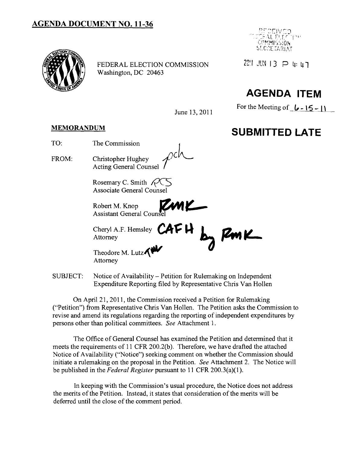### **AGENDA DOCUMENT NO. 11-36**



FEDERAL ELECTION COMMISSION  $22! \text{ JUN } 13 \text{ P 4: 41}$ Washington, DC 20463



## **AGENDA ITEM**

For the Meeting of  $\lfloor \cdot \cdot \rfloor$   $\lfloor \cdot \rfloor$ 

# June 13, 2011

## **MEMORANDUM SUBMITTED LATE**

- TO: The Commission
- FROM: Christopher Hughey<br>*Acting General Counsel*

Rosemary C. Smith  $PC$ <br>Associate General Counsel

Associate General Counsel<br>Robert M. Knop<br>Assistant General Counsel

Cheryl A.F. Hemsley **CAFH L Z** Cheryl A.F. Hemsley  $CATH$   $_{\text{Ly}}$   $RML$ 

Theodore M. Lutz $\bigwedge^{\bullet\bullet\bullet}$ Theodore M. Lutz<br>Attorney

SUBJECT: Notice of Availability – Petition for Rulemaking on Independent Expenditure Reporting filed by Representative Chris Van Hollen

On April 21, 2011, the Commission received a Petition for Rulemaking ("Petition") from Representative Chris Van Hollen. The Petition asks the Commission to revise and amend its regulations regarding the reporting of independent expenditures by persons other than political committees. *See* Attachment 1.

The Office of General Counsel has examined the Petition and determined that it meets the requirements of 11 CFR 200.2(b). Therefore, we have drafted the attached Notice of Availability ("Notice") seeking comment on whether the Commission should initiate a rulemaking on the proposal in the Petition. *See* Attachment 2. The Notice will be published in the *Federal Register* pursuant to 11 CFR 200.3(a)(1).

In keeping with the Commission's usual procedure, the Notice does not address the merits of the Petition. Instead, it states that consideration of the merits will be deferred until the close of the comment period.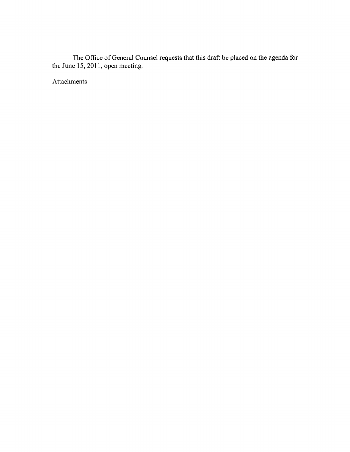The Office of General Counsel requests that this draft be placed on the agenda for the June 15,2011, open meeting.

Attachments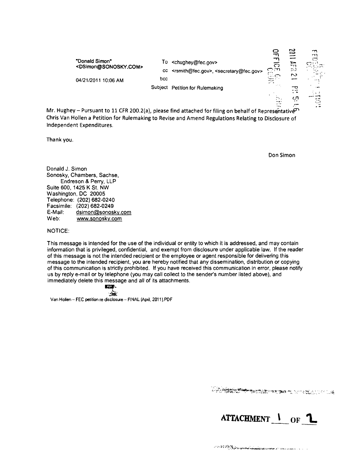

Mr. Hughey - Pursuant to 11 CFR 200.2(a), please find attached for filing on behalf of Representative Chris Van Hollen a Petition for Rulemaking to Revise and Amend Regulations Relating to Disclosure of Independent Expenditures.

Thank you.

Don Simon

Donald J. Simon Sonosky, Chambers, Sachse, Endreson & Perry, LLP Suite 600, 1425 K St. NW Washington, DC 20005 Telephone: (202) 682-0240 Facsimile: (202) 682-0249 E-Mail: dsimon@sonosky.com Web: www.sonosky.com

#### NOTICE:

This message is intended for the use of the individual or entity to which it is addressed, and may contain information that is privileged, confidential, and exempt from disclosure under applicable law. If the reader of this message is not the intended recipient or the employee or agent responsible for delivering this message to the intended recipient, you are hereby notified that any dissemination, distribution or copying of this communication is strictly prohibited. If you have received this communication in error, please notify us by reply e-mail or by telephone (you may call collect to the sender's number listed above), and immediately delete this message and all of its attachments.

 $\sum_{i=1}^n$ 

Van Hollen ·· FEC petition re disclosure -· FINAL (April, 2011).PDF

LA COMPANY COMPANY AND COMPANY OF A CONTRACTOR

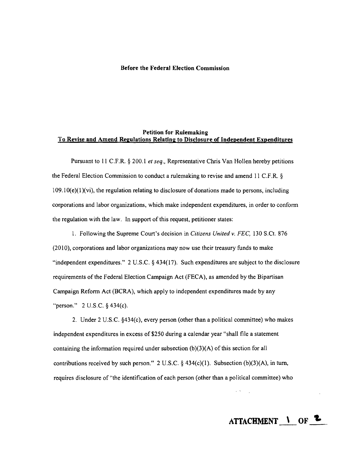#### **Before the Federal Election Commission**

#### **Petition for Rulemaking To Revise and Amend Regulations Relating to Disclosure of Independent Expenditures**

Pursuant to II C.F.R. § 200.1 *et seq.,* Representative Chris Van Hollen hereby petitions the Federal Election Commission to conduct a rulemaking to revise and amend 11 C.F.R. §  $109.10(e)(1)(vi)$ , the regulation relating to disclosure of donations made to persons, including corporations and labor organizations, which make independent expenditures, in order to confonn the regulation with the law. In support of this request, petitioner states:

1. Following the Supreme Court's decision in *Citizens United v.* FEe, 130 S.Ct. 876 (2010), corporations and labor organizations may now use their treasury funds to make "independent expenditures." 2 U.S.C. § 434(17). Such expenditures are subject to the disclosure requirements of the Federal Election Campaign Act (FECA), as amended by the Bipartisan Campaign Refonn Act (BCRA), which apply to independent expenditures made by any "person." 2 U.S.C. § 434(c).

2. Under 2 U.S.c. §434(c), every person (other than a political committee) who makes independent expenditures in excess of \$250 during a calendar year "shall file a statement containing the information required under subsection  $(b)(3)(A)$  of this section for all contributions received by such person." 2 U.S.C.  $\S$  434(c)(1). Subsection (b)(3)(A), in turn, requires disclosure of "the identification of each person (other than a political committee) who

**ATTACHMENT OF**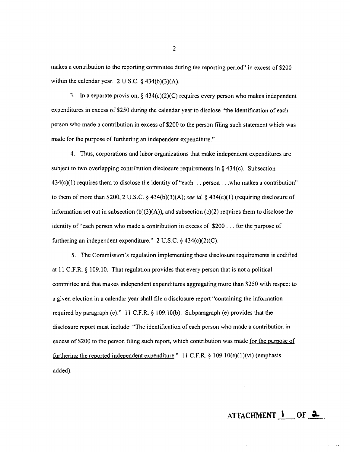makes a contribution to the reporting committee during the reporting period" in excess of \$200 within the calendar year. 2 U.S.C.  $\S$  434(b)(3)(A).

3. In a separate provision,  $\S$  434(c)(2)(C) requires every person who makes independent expenditures in excess of \$250 during the calendar year to disclose "the identification of each person who made a contribution in excess of \$200 to the person filing such statement which was made for the purpose of furthering an independent expenditure."

4. Thus, corporations and labor organizations that make independent expenditures are subject to two overlapping contribution disclosure requirements in  $\S$  434(c). Subsection 434(c)(1) requires them to disclose the identity of "each... person, . ,who makes a contribution" to them of more than \$200, 2 U.S.C. § 434(b)(3)(A); *see id.* § 434(c)(1) (requiring disclosure of information set out in subsection (b)(3)(A)), and subsection (c)(2) requires them to disclose the identity of "each person who made a contribution in excess of \$200 , .. for the purpose of furthering an independent expenditure."  $2 \text{ U.S.C.}$  § 434(c)(2)(C).

5. The Commission's regulation implementing these disclosure requirements is codified at 11 C.F.R. § 109.10. That regulation provides that every person that is not a political committee and that makes independent expenditures aggregating more than \$250 with respect to a given election in a calendar year shall file a disclosure report "containing the information required by paragraph (e)." 11 C.F.R.  $\S$  109.10(b). Subparagraph (e) provides that the disclosure report must include: "The identiflcation of each person who made a contribution in excess of \$200 to the person filing such report, which contribution was made for the purpose of furthering the reported independent expenditure." II C.F,R, § I09.IO(e)(1)(vi) (emphasis added),

2

Service Car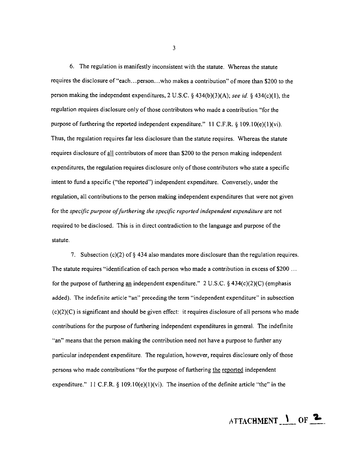6. The regulation is manifestly inconsistent with the statute. Whereas the statute requires the disclosure of"each ...person ...who makes a contribution" of more than \$200 to the person making the independent expenditures, 2 U.S.C. § 434(b)(3)(A); *see id.* § 434(c)(l), the regulation requires disclosure only of those contributors who made a contribution "for the purpose of furthering the reported independent expenditure." 11 C.F.R. § 109.10(e)(1)(vi). Thus, the regulation requires far less disclosure than the statute requires. Whereas the statute requires disclosure of all contributors of more than \$200 to the person making independent expenditures, the regulation requires disclosure only of those contributors who state a specific intent to fund a specific ("the reported") independent expenditure. Conversely, under the regulation, all contributions to the person making independent expenditures that were not given for the *specific purpose offurthering the specific reported independent expenditure* are not required to be disclosed. This is in direct contradiction to the language and purpose of the statute.

7. Subsection (c)(2) of  $\S$  434 also mandates more disclosure than the regulation requires. The statute requires "identification of each person who made a contribution in excess of \$200 ... for the purpose of furthering an independent expenditure." 2 U.S.C. § 434(c)(2)(C) (emphasis added). The indefinite article "an" preceding the term "independent expenditure" in subsection (c)(2)(C) is significant and should be given effect: it requires disclosure of all persons who made contributions for the purpose of furthering independent expenditures in general. The indefinite "an" means that the person making the contribution need not have a purpose to further any particular independent expenditure. The regulation, however, requires disclosure only of those persons who made contributions "for the purpose of furthering the reported independent expenditure." 11 C.F.R.  $\S$  109.10(e)(1)(vi). The insertion of the definite article "the" in the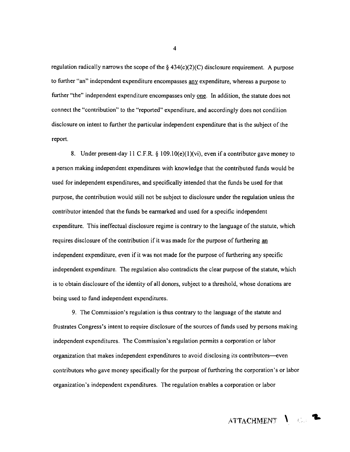regulation radically narrows the scope of the  $\S$  434(c)(2)(C) disclosure requirement. A purpose to further "an" independent expenditure encompasses any expenditure, whereas a purpose to further "the" independent expenditure encompasses only one. In addition, the statute does not connect the "contribution" to the "reported" expenditure, and accordingly does not condition disclosure on intent to further the particular independent expenditure that is the subject of the report.

8. Under present-day 11 C.F.R. § 109.10(e)(1)(vi), even if a contributor gave money to a person making independent expenditures with knowledge that the contributed funds would be used for independent expenditures, and specifically intended that the funds be used for that purpose, the contribution would still not be subject to disclosure under the regulation unless the contributor intended that the funds be earmarked and used for a specific independent expenditure. This ineffectual disclosure regime is contrary to the language of the statute, which requires disclosure of the contribution if it was made for the purpose of furthering an independent expenditure, even if it was not made for the purpose of furthering any specific independent expenditure. The regulation also contradicts the clear purpose of the statute, which is to obtain disclosure of the identity of all donors, subject to a threshold, whose donations are being used to fund independent expenditures.

9. The Commission's regulation is thus contrary to the language of the statute and frustrates Congress's intent to require disclosure of the sources of funds used by persons making independent expenditures. The Commission's regulation pennits a corporation or labor organization that makes independent expenditures to avoid disclosing its contributors-even contributors who gave money specifically for the purpose of furthering the corporation's or labor organization's independent expenditures. The regulation enables a corporation or labor

ATTACHMENT 1 G.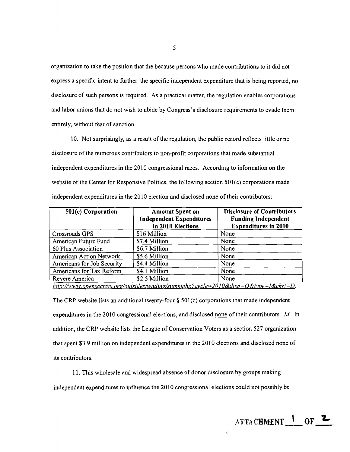organization to take the position that the because persons who made contributions to it did not express a specific intent to further the specific independent expenditure that is being reported, no disclosure of such persons is required. As a practical matter, the regulation enables corporations and labor unions that do not wish to abide by Congress's disclosure requirements to evade them entirely, without fear of sanction.

10. Not surprisingly, as a result of the regulation, the public record reflects little or no disclosure of the numerous contributors to non-profit corporations that made substantial independent expenditures in the 2010 congressional races. According to information on the website of the Center for Responsive Politics, the following section 501(c) corporations made independent expenditures in the 2010 election and disclosed none of their contributors:

| 501(c) Corporation         | <b>Amount Spent on</b><br><b>Independent Expenditures</b><br>in 2010 Elections                                                                                                                                                                                                  | <b>Disclosure of Contributors</b><br><b>Funding Independent</b><br><b>Expenditures in 2010</b> |
|----------------------------|---------------------------------------------------------------------------------------------------------------------------------------------------------------------------------------------------------------------------------------------------------------------------------|------------------------------------------------------------------------------------------------|
| Crossroads GPS             | \$16 Million                                                                                                                                                                                                                                                                    | None                                                                                           |
| American Future Fund       | \$7.4 Million                                                                                                                                                                                                                                                                   | None                                                                                           |
| 60 Plus Association        | \$6.7 Million                                                                                                                                                                                                                                                                   | None                                                                                           |
| American Action Network    | \$5.6 Million                                                                                                                                                                                                                                                                   | None                                                                                           |
| Americans for Job Security | \$4.4 Million                                                                                                                                                                                                                                                                   | None                                                                                           |
| Americans for Tax Reform   | \$4.1 Million                                                                                                                                                                                                                                                                   | None                                                                                           |
| Revere America             | \$2.5 Million                                                                                                                                                                                                                                                                   | None                                                                                           |
|                            | $I_{11}$ , $H_{21}$ , $I_{22}$ , $I_{33}$ , $I_{41}$ , $I_{51}$ , $I_{52}$ , $I_{53}$ , $I_{54}$ , $I_{55}$ , $I_{56}$ , $I_{57}$ , $I_{58}$ , $I_{59}$ , $I_{59}$ , $I_{59}$ , $I_{59}$ , $I_{59}$ , $I_{59}$ , $I_{59}$ , $I_{59}$ , $I_{59}$ , $I_{59}$ , $I_{59}$ , $I_{59$ |                                                                                                |

*hrtp://H·ww.oeensecrers.org/oufsulespendll1g/summphp?cycle=2OlO&dlsp=O&type=I&chrf=D.* 

The CRP website lists an additional twenty-four  $\S$  501(c) corporations that made independent expenditures in the 2010 congressional elections, and disclosed none of their contributors. *Id.* In addition, the CRP website lists the League of Conservation Voters as a section 527 organization that spent \$3.9 million on independent expenditures in the 2010 elections and disclosed none of its contributors.

11. This wholesale and widespread absence of donor disclosure by groups making independent expenditures to influence the 2010 congressional elections could not possibly be

¥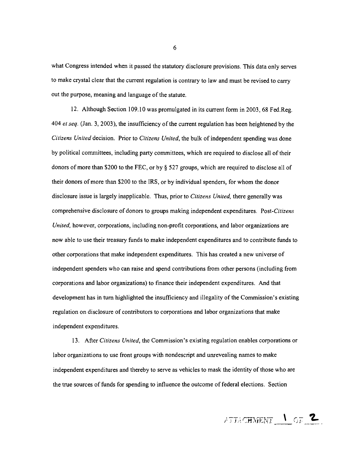what Congress intended when it passed the statutory disclosure provisions. This data only serves to make crystal clear that the current regulation is contrary to law and must be revised to carry *out* the purpose, meaning and language of the statute.

12. Although Section 109.10 was promulgated in its current form in 2003, 68 Fed.Reg. *404 et seq.* (Jan. 3, 2003), the insufficiency of the current regulation has been heightened by the *Citizens United* decision. Prior to *Citizens United,* the bulk of independent spending was done by political committees, including party committees, which are required to disclose all of their donors of more than \$200 to the FEC, or by § 527 groups, which are required to disclose all of their donors of more than \$200 to the IRS, or by individual spenders, for whom the donor disclosure issue is largely inapplicable. Thus, prior to *Citizens United,* there generally was comprehensive disclosure of donors to groups making independent expenditures. *Post-Citizens United*, however, corporations, including non-profit corporations, and labor organizations are now able to use their treasury funds to make independent expenditures and to contribute funds to other corporations that make independent expenditures. This has created a new universe of independent spenders who can raise and spend contributions from other persons (including from corporations and labor organizations) to finance their independent expenditures. And that development has in tum highlighted the insufficiency and illegality of the Commission's existing regulation on disclosure of contributors to corporations and labor organizations that make independent expenditures.

13. After *Citizens United,* the Commission's existing regulation enables corporations or labor organizations to use front groups with nondescript and unrevealing names to make independent expenditures and thereby to serve as vehicles to mask the identity of those who are the true sources of funds for spending to influence the outcome of federal elections. Section

ATTACHMENT 1 OF 2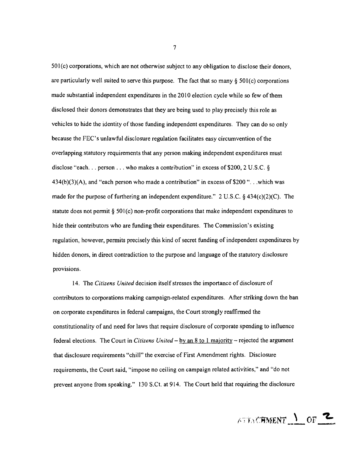50l(c) corporations, which are not otherwise subject to any obligation to disclose their donors, are particularly well suited to serve this purpose. The fact that so many  $\S$  501(c) corporations made substantial independent expenditures in the 2010 election cycle while so few of them disclosed their donors demonstrates that they are being used to play precisely this role as vehicles to hide the identity of those funding independent expenditures. They can do so only because the FEC's unlawful disclosure regulation facilitates easy circumvention of the overlapping statutory requirements that any person making independent expenditures must disclose "each... person ... who makes a contribution" in excess of \$200,2 U.S.c. §  $434(b)(3)(A)$ , and "each person who made a contribution" in excess of \$200 "...which was made for the purpose of furthering an independent expenditure." 2 U.S.C.  $\S$  434(c)(2)(C). The statute does not permit § 50l(c) non-profit corporations that make independent expenditures to hide their contributors who are funding their expenditures. The Commission's existing regulation, however, permits precisely this kind of secret funding of independent expenditures by hidden donors, in direct contradiction to the purpose and language of the statutory disclosure provisions.

14. The *Citizens United* decision itself stresses the importance of disclosure of contributors to corporations making campaign-related expenditures. After striking down the ban on corporate expenditures in federal campaigns, the Court strongly reaffirmed the constitutionality of and need for laws that require disclosure of corporate spending to influence federal elections. The Court in *Citizens United* - by an 8 to 1 majority - rejected the argument that disclosure requirements "chill" the exercise of First Amendment rights. Disclosure requirements, the Court said, "impose no ceiling on campaign related activities," and "do not prevent anyone from speaking." 130 S.Ct. at 914. The Court held that requiring the disclosure

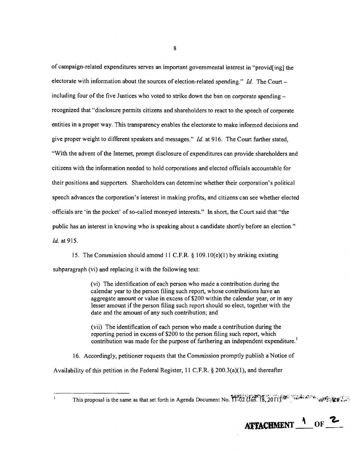of campaign-related expenditures serves an important governmental interest in "provid[ing] the electorate with information about the sources of election-related spending." *Id.* The Courtincluding four of the five Justices who voted to strike down the ban on corporate spendingrecognized that "disclosure permits citizens and shareholders to react to the speech of corporate entities in a proper way. This transparency enables the electorate to make informed decisions and give proper weight to different speakers and messages." *Id.* at 916. The Court further stated, "With the advent of the Internet, prompt disclosure of expenditures can provide shareholders and citizens with the information needed to hold corporations and elected officials accountable for their positions and supporters. Shareholders can determine whether their corporation's political speech advances the corporation's interest in making profits, and citizens can see whether elected officials are 'in the pocket' of so-called moneyed interests." In short, the Court said that "the public has an interest in knowing who is speaking about a candidate shortly before an election." *ld.* at 915.

15. The Commission should amend 11 C.F.R.  $\S$  109.10(e)(1) by striking existing subparagraph (vi) and replacing it with the following text:

> (vi) The identification of each person who made a contribution during the calendar year to the person filing such report, whose contributions have an aggregate amount or value in excess of \$200 within the calendar year, or in any lesser amount if the person filing such report should so elect, together with the date and the amount of any such contribution; and

(vii) The identification of each person who made a contribution during the reporting period in excess of \$200 to the person filing such report, which contribution was made for the purpose of furthering an independent expenditure.<sup>1</sup>

16. Accordingly, petitioner requests that the Commission promptly publish a Notice of

Availability of this petition in the Federal Register, 11 C.F.R.  $\S$  200.3(a)(1), and thereafter

 $\mathbf{r}$ 

ATTACHMENT <sup>1</sup> OF <sup>2</sup> 

This proposal is the same as that set forth in Agenda Document No. 11-02 (Jan. 18, 2011). We were some with the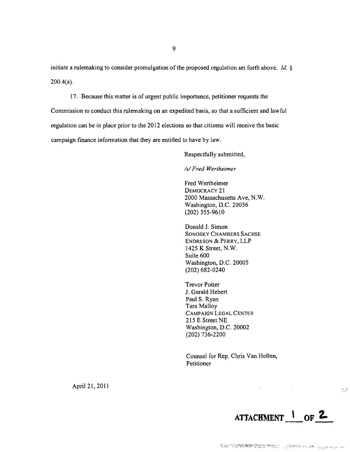initiate a rulemaking to consider promulgation of the proposed regulation set forth above. Id. § 200.4(a).

17. Because this matter is of urgent public importance, petitioner requests the

Commission to conduct this rulemaking on an expedited basis, so that a sufficient and lawful regulation can be in place prior to the 2012 elections so that citizens will receive the basic campaign finance information that they are entitled to have by law.

Respectfully submitted,

*/s/ Fred Wertheimer* 

Fred Wertheimer DEMOCRACY 21 2000 Massachusetts Ave, N.W. Washington, D.C. 20036 (202) 355-9610

Donald J. Simon SONOSKY CHAMBERS SACHSE ENDRESON & PERRY, LLP 1425 K Street, N.W. Suite 600 Washington, D.C. 20005 (202) 682-0240

Trevor Potter J. Gerald Hebert Paul S. Ryan Tara Malloy CAMPA1GN LEGAL CENTER 215 E Street NE Washington, D.C. 20002 (202) 736-2200

Counsel for Rep. Chris Van Hollen, Petitioner

April 21, 2011



 $\frac{4}{3}$  ,  $\frac{5}{3}$ 

 $\mathbf{v} = \mathbf{v} \times \mathbf{v}$  , where  $\mathbf{v} = \mathbf{v} \times \mathbf{v}$ 

"CAS (FRASSECTED TO THE THROUGH AND THE SECOND AND THE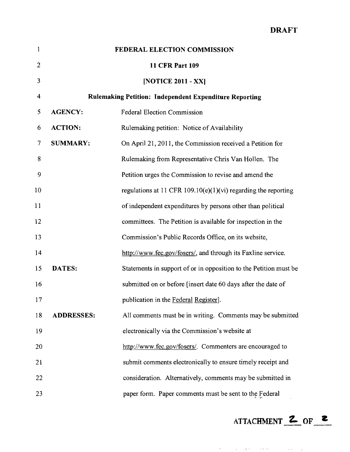| $\mathbf{1}$            | FEDERAL ELECTION COMMISSION                                   |                                                                   |  |
|-------------------------|---------------------------------------------------------------|-------------------------------------------------------------------|--|
| $\overline{2}$          |                                                               | <b>11 CFR Part 109</b>                                            |  |
| 3                       |                                                               | [NOTICE 2011 - XX]                                                |  |
| $\overline{\mathbf{4}}$ | <b>Rulemaking Petition: Independent Expenditure Reporting</b> |                                                                   |  |
| 5                       | <b>AGENCY:</b>                                                | <b>Federal Election Commission</b>                                |  |
| 6                       | <b>ACTION:</b>                                                | Rulemaking petition: Notice of Availability                       |  |
| 7                       | <b>SUMMARY:</b>                                               | On April 21, 2011, the Commission received a Petition for         |  |
| 8                       |                                                               | Rulemaking from Representative Chris Van Hollen. The              |  |
| 9                       |                                                               | Petition urges the Commission to revise and amend the             |  |
| 10                      |                                                               | regulations at 11 CFR 109.10(e)(1)(vi) regarding the reporting    |  |
| 11                      |                                                               | of independent expenditures by persons other than political       |  |
| 12                      |                                                               | committees. The Petition is available for inspection in the       |  |
| 13                      |                                                               | Commission's Public Records Office, on its website,               |  |
| 14                      |                                                               | http://www.fec.gov/fosers/, and through its Faxline service.      |  |
| 15                      | <b>DATES:</b>                                                 | Statements in support of or in opposition to the Petition must be |  |
| 16                      |                                                               | submitted on or before [insert date 60 days after the date of     |  |
| 17                      |                                                               | publication in the Federal Register].                             |  |
| 18                      | <b>ADDRESSES:</b>                                             | All comments must be in writing. Comments may be submitted        |  |
| 19                      |                                                               | electronically via the Commission's website at                    |  |
| 20                      |                                                               | http://www.fec.gov/fosers/. Commenters are encouraged to          |  |
| 21                      |                                                               | submit comments electronically to ensure timely receipt and       |  |
| 22                      |                                                               | consideration. Alternatively, comments may be submitted in        |  |
| 23                      |                                                               | paper form. Paper comments must be sent to the Federal            |  |

ATTACHMENT **Z** OF **z** 

 $\mathcal{O}(\mathcal{O}(10^6) \times 10^6)$  , and the second constant  $\mathcal{O}(\mathcal{O}(10^6))$  . The second constant  $\mathcal{O}(\mathcal{O}(10^6))$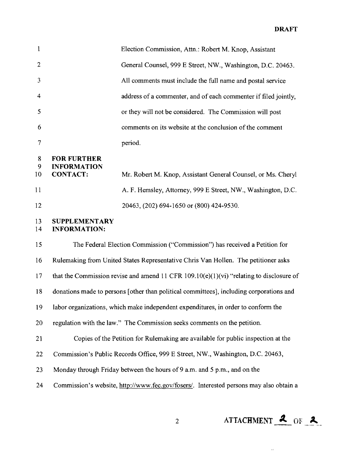#### **DRAFT**

| 1              |                                                             | Election Commission, Attn.: Robert M. Knop, Assistant           |
|----------------|-------------------------------------------------------------|-----------------------------------------------------------------|
| $\overline{2}$ |                                                             | General Counsel, 999 E Street, NW., Washington, D.C. 20463.     |
| 3              |                                                             | All comments must include the full name and postal service      |
| $\overline{4}$ |                                                             | address of a commenter, and of each commenter if filed jointly, |
| 5              |                                                             | or they will not be considered. The Commission will post        |
| 6              |                                                             | comments on its website at the conclusion of the comment        |
| $\overline{7}$ |                                                             | period.                                                         |
| 8<br>9<br>10   | <b>FOR FURTHER</b><br><b>INFORMATION</b><br><b>CONTACT:</b> | Mr. Robert M. Knop, Assistant General Counsel, or Ms. Cheryl    |
| 11             |                                                             | A. F. Hemsley, Attorney, 999 E Street, NW., Washington, D.C.    |
|                |                                                             |                                                                 |
| 12             |                                                             | 20463, (202) 694-1650 or (800) 424-9530.                        |
| 13<br>14       | <b>SUPPLEMENTARY</b><br><b>INFORMATION:</b>                 |                                                                 |

15 The Federal Election Commission ("Commission") has received a Petition for 16 Rulemaking from United States Representative Chris Van Hollen. The petitioner asks 17 that the Commission revise and amend 11 CFR 109.10( $e$ )(1)( $vi$ ) "relating to disclosure of 18 donations made to persons [other than political committees], including corporations and 19 labor organizations, which make independent expenditures, in order to conform the 20 regulation with the law." The Commission seeks comments on the petition. 21 Copies of the Petition for Rulemaking are available for public inspection at the 22 Commission's Public Records Office, 999 E Street, NW., Washington, D.C. 20463, 23 Monday through Friday between the hours of 9 a.m. and 5 p.m., and on the 24 Commission's website, http://www.fec.gov/fosers/. Interested persons may also obtain a

2 **ATTACHMENT 2** OF 2